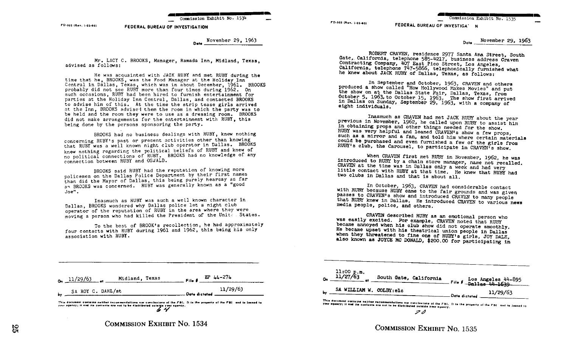Commission Exhibit No. 1534

1-0 ~n.. . i-ss <o~ FEDERAL BUREAU OF INVESTIGATION

> Dete November 29, 1963

Mr. LACY C. BROOKS, Manager, Ramada Inn, Midland, Texas, advised as follows :

He was acquainted with JACK RUBY and met RUBY during the time that he, BROOKS, was the Food Manager at the Holiday Inn Central in Dallas, Texas, which was in about December, 1961. BROOKS probably did not see RUBY more than four times during 1962. On such occasions, RUBY had been hired to furnish entertainment for parties at the Holiday Inn Central, Dallas, and contacted BROOKS to advise him of this. At the time the strip tease girls arrived at the Inn, BROOKS advised them the room in which the party was to be held and the room they were to use as a dressing room. BROOKS did not make arrangements for the entertainment with RUBY, this being done by the persons sponsoring the party.

BROOKS had no business dealings with RUBY, knew nothing concerning RUBY's past or present activities other than knowing that RUBY was a well known night club operator in Dallas. BROOKS knew nothing regarding the political beliefs of RUBY and knew of no political connections of RUBY . BROOKS had no knowledge of any connection between RUBY and OSJALD.

BROOKS said RUBY had the reputation of knowing more policemen on the Dallas Police Department by their first names than did the Mayor of Dallas, this being purely hearsay as far a~ BROOKS was concerned . RUBY was generally known as <sup>a</sup> "good Joe" .

Inasmuch as RUBY was such a well known character in Dallas, BROOKS wondered why Dallas police let <sup>a</sup> night club operator of the reputation of RUBY in the area where they were moving a person who had killed the President of the Unite . States.

To the best of BROOK's recollection, he had approximately four contacts with RUBY during 1961 and 1962, this being his only association with RUBY .

ROBERT CRAVEN, residence 2977 Santa Ana Street, South<br>Contracting Company, 407 Esiphone 585-4217, business address Craven<br>Contracting Company, 407 East Pico Street, Los Angeles,<br>California, telephone 747-5866, telephonical

FD-302 (Rev. 1-25-60)

In September and October, 1963, CRAVEN and others<br>the show called "How Hollywood Makes Movies" and put<br>the show on at the Dallas State Fair, Dallas, Texas, from<br>October 5, 1963, to October 15, 1963. The show first arrived<br>

FEDERAL BUREAU OF INVESTIGA' N

Inasmuch as CRAVEN had met JACK RUBY about the year previous in November, 1962, he called upon RUBY to assist him in obtaining props and other things needed for the show.<br>IN was very helpful and loaned CRAVEN's show a few such as a mirror and a fan, and told him where certain materials could be purchased and even furnished a few of the girls from RUBY's club, the Carousel, to participate in CRAVEN's show.<br>When CRAVEN first met RUBY in Novem

introduced to RUBY by a chain store manager, name not recalled.<br>CRAVEN at the time was in Dallas only a week and had very little contact with RUBY at that time. He knew that RUBY had two clubs in Dallas and that is about a

In October, 1963, CRAVEN had considerable contact<br>passes to CRAVEN's show and to the fair grounds and was given<br>passes to CRAVEN's show and introduced CRAVEN to many people<br>that RUBY knew in Dallas. He introduced CRAVEN to

CRAVEN described RUBY as an emotional person who became annoyed when his club show did not operate smoothly.<br>He became annoyed when his club show did not operate smoothly.<br>He became upset with his theatrical union people i also known as JOYCE MC DONALD, \$200.00 for participating in

| $o_n$ $\frac{11/29/63}{11}$ $o_n$ Midland, Texas |  |  | File $\beta = \frac{EP}{44} = 274$                       |
|--------------------------------------------------|--|--|----------------------------------------------------------|
| SA ROY C. DAHL/st<br>$\mathbf{b}$                |  |  | 11/29/63<br>Data dictated $\frac{11}{2}$ $\frac{29}{20}$ |

This document contains neither recommendations nor conclusions of the FBI. It is the property of the FBI and is louned to your agency; it and its contents are not to be distributed outside your agency.



| $11:00$ p.m.<br>$11/27/63$ | South Gate, California  |                 | File # Los Angeles 44-895 |
|----------------------------|-------------------------|-----------------|---------------------------|
|                            |                         |                 |                           |
|                            | SA WILLIAM W. COLBY:elo |                 | 11/29/63                  |
|                            |                         | - Date dictated |                           |

Commission Exhibit No. 1535

Date November 29, 1963